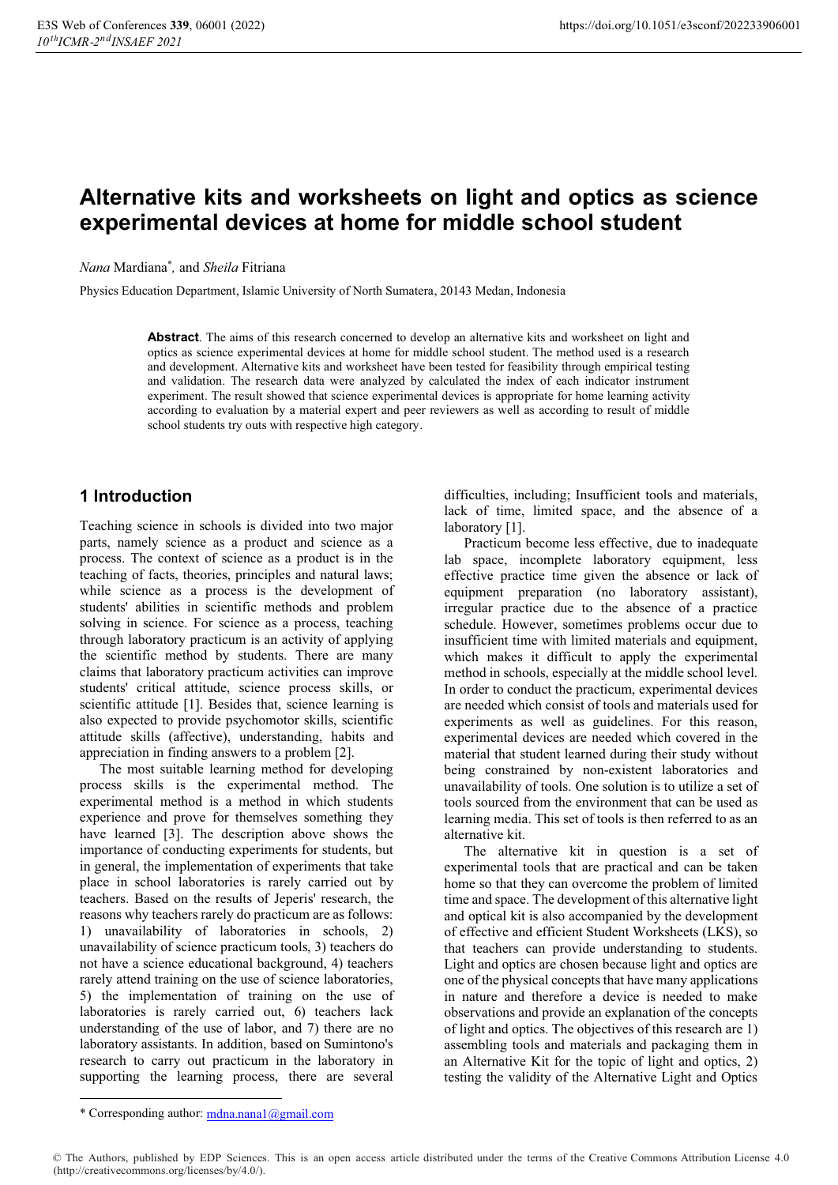# **Alternative kits and worksheets on light and optics as science experimental devices at home for middle school student**

*Nana* Mardiana\* *,* and *Sheila* Fitriana

Physics Education Department, Islamic University of North Sumatera, 20143 Medan, Indonesia

**Abstract**. The aims of this research concerned to develop an alternative kits and worksheet on light and optics as science experimental devices at home for middle school student. The method used is a research and development. Alternative kits and worksheet have been tested for feasibility through empirical testing and validation. The research data were analyzed by calculated the index of each indicator instrument experiment. The result showed that science experimental devices is appropriate for home learning activity according to evaluation by a material expert and peer reviewers as well as according to result of middle school students try outs with respective high category.

# **1 Introduction**

Teaching science in schools is divided into two major parts, namely science as a product and science as a process. The context of science as a product is in the teaching of facts, theories, principles and natural laws; while science as a process is the development of students' abilities in scientific methods and problem solving in science. For science as a process, teaching through laboratory practicum is an activity of applying the scientific method by students. There are many claims that laboratory practicum activities can improve students' critical attitude, science process skills, or scientific attitude [1]. Besides that, science learning is also expected to provide psychomotor skills, scientific attitude skills (affective), understanding, habits and appreciation in finding answers to a problem [2].

The most suitable learning method for developing process skills is the experimental method. The experimental method is a method in which students experience and prove for themselves something they have learned [3]. The description above shows the importance of conducting experiments for students, but in general, the implementation of experiments that take place in school laboratories is rarely carried out by teachers. Based on the results of Jeperis' research, the reasons why teachers rarely do practicum are as follows: 1) unavailability of laboratories in schools, 2) unavailability of science practicum tools, 3) teachers do not have a science educational background, 4) teachers rarely attend training on the use of science laboratories, 5) the implementation of training on the use of laboratories is rarely carried out, 6) teachers lack understanding of the use of labor, and 7) there are no laboratory assistants. In addition, based on Sumintono's research to carry out practicum in the laboratory in supporting the learning process, there are several

difficulties, including; Insufficient tools and materials, lack of time, limited space, and the absence of a laboratory [1].

Practicum become less effective, due to inadequate lab space, incomplete laboratory equipment, less effective practice time given the absence or lack of equipment preparation (no laboratory assistant), irregular practice due to the absence of a practice schedule. However, sometimes problems occur due to insufficient time with limited materials and equipment, which makes it difficult to apply the experimental method in schools, especially at the middle school level. In order to conduct the practicum, experimental devices are needed which consist of tools and materials used for experiments as well as guidelines. For this reason, experimental devices are needed which covered in the material that student learned during their study without being constrained by non-existent laboratories and unavailability of tools. One solution is to utilize a set of tools sourced from the environment that can be used as learning media. This set of tools is then referred to as an alternative kit.

The alternative kit in question is a set of experimental tools that are practical and can be taken home so that they can overcome the problem of limited time and space. The development of this alternative light and optical kit is also accompanied by the development of effective and efficient Student Worksheets (LKS), so that teachers can provide understanding to students. Light and optics are chosen because light and optics are one of the physical concepts that have many applications in nature and therefore a device is needed to make observations and provide an explanation of the concepts of light and optics. The objectives of this research are 1) assembling tools and materials and packaging them in an Alternative Kit for the topic of light and optics, 2) testing the validity of the Alternative Light and Optics

<sup>\*</sup> Corresponding author: mdna.nana1@gmail.com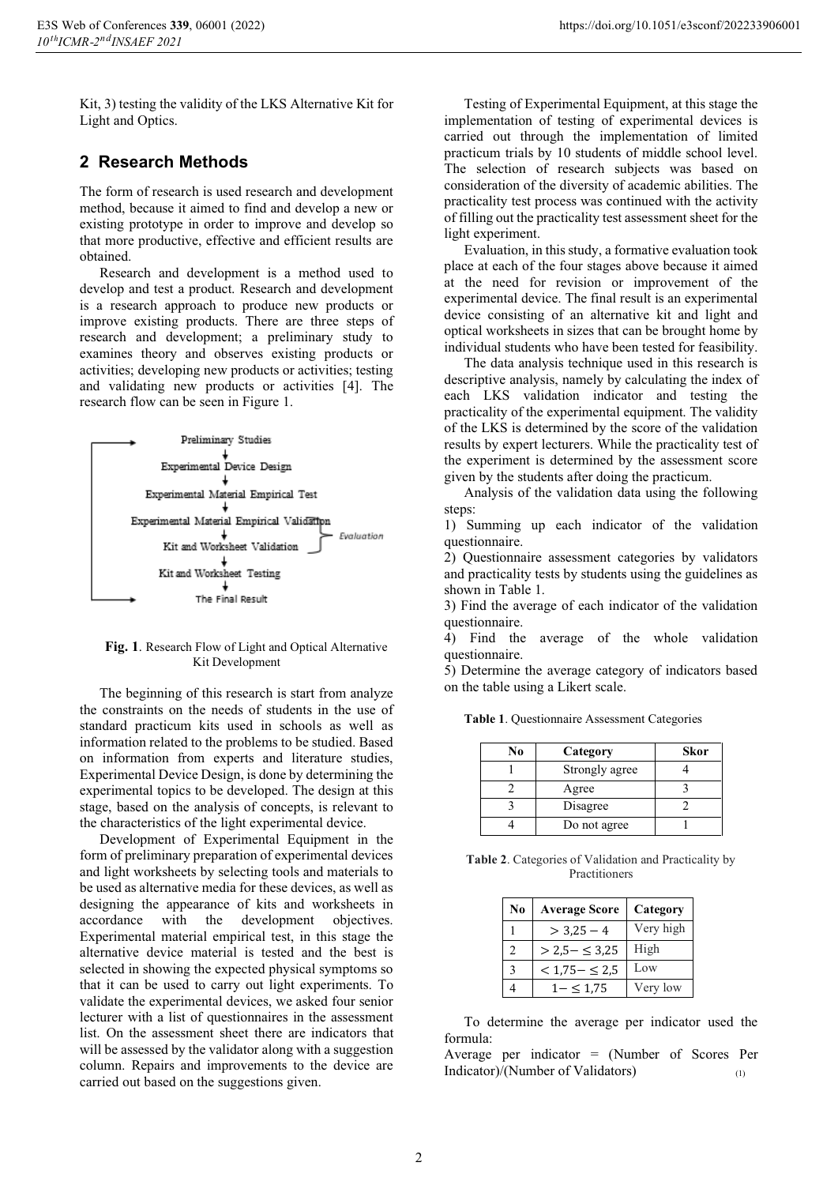Kit, 3) testing the validity of the LKS Alternative Kit for Light and Optics.

### **2 Research Methods**

The form of research is used research and development method, because it aimed to find and develop a new or existing prototype in order to improve and develop so that more productive, effective and efficient results are obtained.

Research and development is a method used to develop and test a product. Research and development is a research approach to produce new products or improve existing products. There are three steps of research and development; a preliminary study to examines theory and observes existing products or activities; developing new products or activities; testing and validating new products or activities [4]. The research flow can be seen in Figure 1.



#### **Fig. 1**. Research Flow of Light and Optical Alternative Kit Development

The beginning of this research is start from analyze the constraints on the needs of students in the use of standard practicum kits used in schools as well as information related to the problems to be studied. Based on information from experts and literature studies, Experimental Device Design, is done by determining the experimental topics to be developed. The design at this stage, based on the analysis of concepts, is relevant to the characteristics of the light experimental device.

Development of Experimental Equipment in the form of preliminary preparation of experimental devices and light worksheets by selecting tools and materials to be used as alternative media for these devices, as well as designing the appearance of kits and worksheets in accordance with the development objectives. Experimental material empirical test, in this stage the alternative device material is tested and the best is selected in showing the expected physical symptoms so that it can be used to carry out light experiments. To validate the experimental devices, we asked four senior lecturer with a list of questionnaires in the assessment list. On the assessment sheet there are indicators that will be assessed by the validator along with a suggestion column. Repairs and improvements to the device are carried out based on the suggestions given.

Testing of Experimental Equipment, at this stage the implementation of testing of experimental devices is carried out through the implementation of limited practicum trials by 10 students of middle school level. The selection of research subjects was based on consideration of the diversity of academic abilities. The practicality test process was continued with the activity of filling out the practicality test assessment sheet for the light experiment.

Evaluation, in this study, a formative evaluation took place at each of the four stages above because it aimed at the need for revision or improvement of the experimental device. The final result is an experimental device consisting of an alternative kit and light and optical worksheets in sizes that can be brought home by individual students who have been tested for feasibility.

The data analysis technique used in this research is descriptive analysis, namely by calculating the index of each LKS validation indicator and testing the practicality of the experimental equipment. The validity of the LKS is determined by the score of the validation results by expert lecturers. While the practicality test of the experiment is determined by the assessment score given by the students after doing the practicum.

Analysis of the validation data using the following steps:

1) Summing up each indicator of the validation questionnaire.

2) Questionnaire assessment categories by validators and practicality tests by students using the guidelines as shown in Table 1.

3) Find the average of each indicator of the validation questionnaire.

4) Find the average of the whole validation questionnaire.

5) Determine the average category of indicators based on the table using a Likert scale.

**Table 1**. Questionnaire Assessment Categories

| No | Category       | <b>Skor</b> |  |  |
|----|----------------|-------------|--|--|
|    | Strongly agree |             |  |  |
|    | Agree          |             |  |  |
|    | Disagree       |             |  |  |
|    | Do not agree   |             |  |  |

**Table 2**. Categories of Validation and Practicality by Practitioners

| No             | <b>Average Score</b> | Category  |
|----------------|----------------------|-----------|
|                | $>$ 3.25 $-4$        | Very high |
| $\mathfrak{D}$ | $> 2.5 - \leq 3.25$  | High      |
| 3              | $< 1.75 - \le 2.5$   | Low       |
|                | $1 - \leq 1.75$      | Very low  |

To determine the average per indicator used the formula:

Average per indicator = (Number of Scores Per Indicator)/(Number of Validators) (1)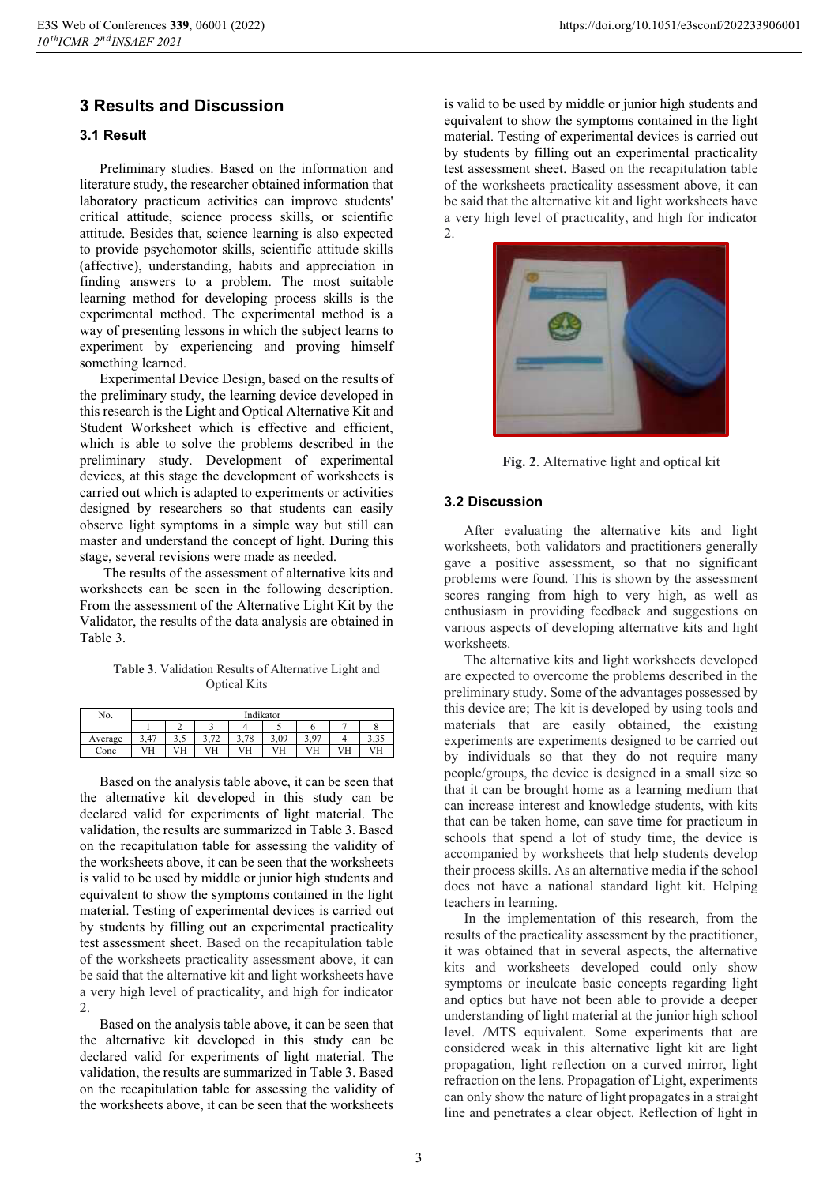# **3 Results and Discussion**

#### **3.1 Result**

Preliminary studies. Based on the information and literature study, the researcher obtained information that laboratory practicum activities can improve students' critical attitude, science process skills, or scientific attitude. Besides that, science learning is also expected to provide psychomotor skills, scientific attitude skills (affective), understanding, habits and appreciation in finding answers to a problem. The most suitable learning method for developing process skills is the experimental method. The experimental method is a way of presenting lessons in which the subject learns to experiment by experiencing and proving himself something learned.

Experimental Device Design, based on the results of the preliminary study, the learning device developed in this research is the Light and Optical Alternative Kit and Student Worksheet which is effective and efficient, which is able to solve the problems described in the preliminary study. Development of experimental devices, at this stage the development of worksheets is carried out which is adapted to experiments or activities designed by researchers so that students can easily observe light symptoms in a simple way but still can master and understand the concept of light. During this stage, several revisions were made as needed.

 The results of the assessment of alternative kits and worksheets can be seen in the following description. From the assessment of the Alternative Light Kit by the Validator, the results of the data analysis are obtained in Table 3.

**Table 3**. Validation Results of Alternative Light and Optical Kits

| No.     | Indikator |                   |                  |      |      |     |           |                  |  |
|---------|-----------|-------------------|------------------|------|------|-----|-----------|------------------|--|
|         |           |                   | -                |      |      |     |           |                  |  |
| Average | .47       | $\epsilon$<br>ر . | 72<br>ے '<br>، ب | 3.78 | 3.09 | .97 |           | $\gamma$<br>3.33 |  |
| Conc    | VH        | VH                | VH               | VH   | VH   | VH  | <b>VH</b> | VH               |  |

Based on the analysis table above, it can be seen that the alternative kit developed in this study can be declared valid for experiments of light material. The validation, the results are summarized in Table 3. Based on the recapitulation table for assessing the validity of the worksheets above, it can be seen that the worksheets is valid to be used by middle or junior high students and equivalent to show the symptoms contained in the light material. Testing of experimental devices is carried out by students by filling out an experimental practicality test assessment sheet. Based on the recapitulation table of the worksheets practicality assessment above, it can be said that the alternative kit and light worksheets have a very high level of practicality, and high for indicator 2.

Based on the analysis table above, it can be seen that the alternative kit developed in this study can be declared valid for experiments of light material. The validation, the results are summarized in Table 3. Based on the recapitulation table for assessing the validity of the worksheets above, it can be seen that the worksheets

is valid to be used by middle or junior high students and equivalent to show the symptoms contained in the light material. Testing of experimental devices is carried out by students by filling out an experimental practicality test assessment sheet. Based on the recapitulation table of the worksheets practicality assessment above, it can be said that the alternative kit and light worksheets have a very high level of practicality, and high for indicator 2.



**Fig. 2**. Alternative light and optical kit

#### **3.2 Discussion**

After evaluating the alternative kits and light worksheets, both validators and practitioners generally gave a positive assessment, so that no significant problems were found. This is shown by the assessment scores ranging from high to very high, as well as enthusiasm in providing feedback and suggestions on various aspects of developing alternative kits and light worksheets.

The alternative kits and light worksheets developed are expected to overcome the problems described in the preliminary study. Some of the advantages possessed by this device are; The kit is developed by using tools and materials that are easily obtained, the existing experiments are experiments designed to be carried out by individuals so that they do not require many people/groups, the device is designed in a small size so that it can be brought home as a learning medium that can increase interest and knowledge students, with kits that can be taken home, can save time for practicum in schools that spend a lot of study time, the device is accompanied by worksheets that help students develop their process skills. As an alternative media if the school does not have a national standard light kit. Helping teachers in learning.

In the implementation of this research, from the results of the practicality assessment by the practitioner, it was obtained that in several aspects, the alternative kits and worksheets developed could only show symptoms or inculcate basic concepts regarding light and optics but have not been able to provide a deeper understanding of light material at the junior high school level. /MTS equivalent. Some experiments that are considered weak in this alternative light kit are light propagation, light reflection on a curved mirror, light refraction on the lens. Propagation of Light, experiments can only show the nature of light propagates in a straight line and penetrates a clear object. Reflection of light in